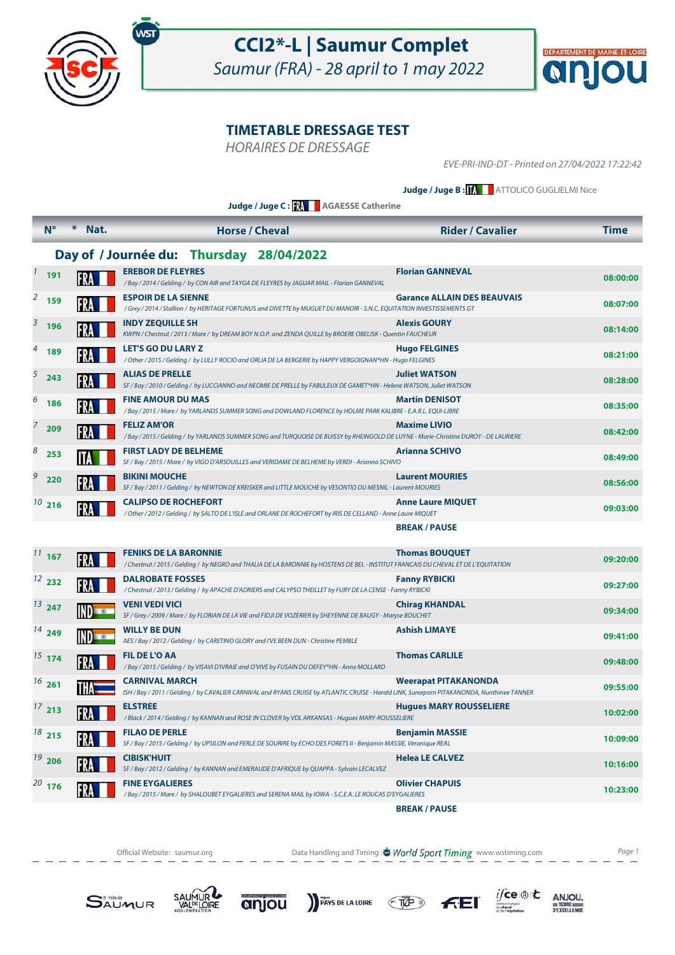



HORAIRES DE DRESSAGE

EVE-PRI-IND-DT - Printed on 27/04/2022 17:22:42

**Judge / Juge B : MATTOLICO GUGLIELMI Nice** 

**Judge / Juge C : AGAESSE Catherine**

|   | $N^{\circ}$                              | Nat.           | <b>Horse / Cheval</b>                                                                                                                                                 | <b>Rider / Cavalier</b>            | <b>Time</b> |  |  |  |  |
|---|------------------------------------------|----------------|-----------------------------------------------------------------------------------------------------------------------------------------------------------------------|------------------------------------|-------------|--|--|--|--|
|   | Day of / Journée du: Thursday 28/04/2022 |                |                                                                                                                                                                       |                                    |             |  |  |  |  |
|   | $1$ 191                                  | FRA            | <b>EREBOR DE FLEYRES</b><br>/Bay / 2014 / Gelding / by CON AIR and TAYGA DE FLEYRES by JAGUAR MAIL - Florian GANNEVAL                                                 | <b>Florian GANNEVAL</b>            | 08:00:00    |  |  |  |  |
|   | $2^{2}$ 159                              |                | <b>ESPOIR DE LA SIENNE</b><br>/Grey / 2014 / Stallion / by HERITAGE FORTUNUS and DIVETTE by MUGUET DU MANOIR - S.N.C. EQUITATION INVESTISSEMENTS GT                   | <b>Garance ALLAIN DES BEAUVAIS</b> | 08:07:00    |  |  |  |  |
|   | $3\overline{)}$ 196                      |                | <b>INDY ZEQUILLE SH</b><br>KWPN / Chestnut / 2013 / Mare / by DREAM BOY N.O.P. and ZENDA QUILLE by BROERE OBELISK - Quentin FAUCHEUR                                  | <b>Alexis GOURY</b>                | 08:14:00    |  |  |  |  |
|   | $4$ 189                                  |                | <b>LET'S GO DU LARY Z</b><br>/ Other / 2015 / Gelding / by LULLY ROCIO and ORLIA DE LA BERGERIE by HAPPY VERGOIGNAN*HN - Hugo FELGINES                                | <b>Hugo FELGINES</b>               | 08:21:00    |  |  |  |  |
|   | $5\quad 243$                             |                | <b>ALIAS DE PRELLE</b><br>SF / Bay / 2010 / Gelding / by LUCCIANNO and NEOMIE DE PRELLE by FABULEUX DE GAMET*HN - Helene WATSON, Juliet WATSON                        | <b>Juliet WATSON</b>               | 08:28:00    |  |  |  |  |
|   | $6^{6}$ 186                              | FRA            | <b>FINE AMOUR DU MAS</b><br>/Bay / 2015 / Mare / by YARLANDS SUMMER SONG and DOWLAND FLORENCE by HOLME PARK KALIBRE - E.A.R.L. EQUI-LIBRE                             | <b>Martin DENISOT</b>              | 08:35:00    |  |  |  |  |
|   | 209                                      |                | <b>FELIZ AM'OR</b><br>/Bay / 2015 / Gelding / by YARLANDS SUMMER SONG and TURQUOISE DE BUISSY by RHEINGOLD DE LUYNE - Marie-Christine DUROY - DE LAURIERE             | <b>Maxime LIVIO</b>                | 08:42:00    |  |  |  |  |
|   | $8\overline{253}$                        |                | <b>FIRST LADY DE BELHEME</b><br>SF / Bay / 2015 / Mare / by VIGO D'ARSOUILLES and VERIDAME DE BELHEME by VERDI - Arianna SCHIVO                                       | <b>Arianna SCHIVO</b>              | 08:49:00    |  |  |  |  |
| 9 | 220                                      |                | <b>BIKINI MOUCHE</b><br>SF / Bay / 2011 / Gelding / by NEWTON DE KREISKER and LITTLE MOUCHE by VESONTIO DU MESNIL - Laurent MOURIES                                   | <b>Laurent MOURIES</b>             | 08:56:00    |  |  |  |  |
|   | $10^{10}$ 216                            |                | <b>CALIPSO DE ROCHEFORT</b><br>/ Other / 2012 / Gelding / by SALTO DE L'ISLE and ORLANE DE ROCHEFORT by IRIS DE CELLAND - Anne Laure MIQUET                           | <b>Anne Laure MIQUET</b>           | 09:03:00    |  |  |  |  |
|   |                                          |                |                                                                                                                                                                       | <b>BREAK/PAUSE</b>                 |             |  |  |  |  |
|   | $11$ 167                                 |                | <b>FENIKS DE LA BARONNIE</b><br>/ Chestnut / 2015 / Gelding / by NEGRO and THALIA DE LA BARONNIE by HOSTENS DE BEL - INSTITUT FRANCAIS DU CHEVAL ET DE L'EQUITATION   | <b>Thomas BOUQUET</b>              | 09:20:00    |  |  |  |  |
|   | $12^{2}$ 232                             |                | <b>DALROBATE FOSSES</b><br>/Chestnut/2013/Gelding/ by APACHE D'ADRIERS and CALYPSO THEILLET by FURY DE LA CENSE - Fanny RYBICKI                                       | <b>Fanny RYBICKI</b>               | 09:27:00    |  |  |  |  |
|   | $13^{247}$                               | IND <b>Box</b> | <b>VENI VEDI VICI</b><br>SF / Grey / 2009 / Mare / by FLORIAN DE LA VIE and FIDJI DE VOZERIER by SHEYENNE DE BAUGY - Maryse BOUCHET                                   | <b>Chirag KHANDAL</b>              | 09:34:00    |  |  |  |  |
|   | $14^{14}$ 249                            |                | <b>WILLY BE DUN</b><br>AES / Bay / 2012 / Gelding / by CARETINO GLORY and I'VE BEEN DUN - Christine PEMBLE                                                            | <b>Ashish LIMAYE</b>               | 09:41:00    |  |  |  |  |
|   | $15$ 174                                 |                | <b>FIL DE L'O AA</b><br>/Bay / 2015 / Gelding / by VISAVI D'IVRAIE and O'VIVE by FUSAIN DU DEFEY*HN - Anne MOLLARD                                                    | <b>Thomas CARLILE</b>              | 09:48:00    |  |  |  |  |
|   | $16^{26}$                                | THA            | <b>CARNIVAL MARCH</b><br>ISH / Bay / 2011 / Gelding / by CAVALIER CARNIVAL and RYANS CRUISE by ATLANTIC CRUISE - Harald LINK, Sureeporn PITAKANONDA, Nunthinee TANNER | <b>Weerapat PITAKANONDA</b>        | 09:55:00    |  |  |  |  |
|   | 17213                                    |                | <b>ELSTREE</b><br>/Black / 2014 / Gelding / by KANNAN and ROSE IN CLOVER by VDL ARKANSAS - Hugues MARY-ROUSSELIERE                                                    | <b>Hugues MARY ROUSSELIERE</b>     | 10:02:00    |  |  |  |  |
|   | 18215                                    | FRA            | <b>FILAO DE PERLE</b><br>SF / Bay / 2015 / Gelding / by UPSILON and PERLE DE SOURIRE by ECHO DES FORETS II - Benjamin MASSIE, Veronique REAL                          | <b>Benjamin MASSIE</b>             | 10:09:00    |  |  |  |  |
|   | $19^{19}$ 206                            |                | <b>CIBISK'HUIT</b><br>SF / Bay / 2012 / Gelding / by KANNAN and EMERAUDE D'AFRIQUE by QUAPPA - Sylvain LECALVEZ                                                       | <b>Helea LE CALVEZ</b>             | 10:16:00    |  |  |  |  |
|   | $20$ 176                                 |                | <b>FINE EYGALIERES</b><br>/ Bay / 2015 / Mare / by SHALOUBET EYGALIERES and SERENA MAIL by IOWA - S.C.E.A. LE ROUCAS D'EYGALIERES                                     | <b>Olivier CHAPUIS</b>             | 10:23:00    |  |  |  |  |
|   |                                          |                |                                                                                                                                                                       | <b>BREAK/PAUSE</b>                 |             |  |  |  |  |

Official Website: saumur.org **Data Handling and Timing : World Sport Timing** www.wstiming.com Page 1

**FEI** 

PAYS DE LA LOIRE TVP

 $i$ fce

 $\begin{array}{r}\nANJOU, \\
# \text{TERE} \\
 \hline\n\n \text{PEXCELLENCE}\n\end{array}$ 





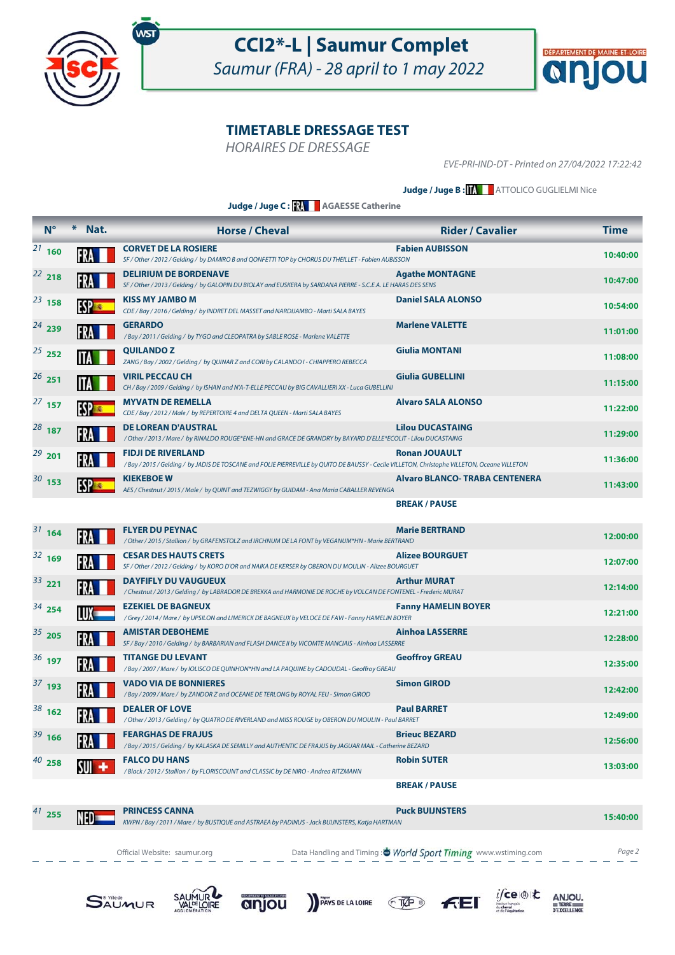



HORAIRES DE DRESSAGE

EVE-PRI-IND-DT - Printed on 27/04/2022 17:22:42

#### **Judge / Juge B : MATTOLICO GUGLIELMI Nice**

**Judge / Juge C : AGAESSE Catherine**

| $N^{\circ}$   | $*$<br>Nat. | <b>Horse / Cheval</b>                                                                                                                                                     | <b>Rider / Cavalier</b>               | <b>Time</b> |
|---------------|-------------|---------------------------------------------------------------------------------------------------------------------------------------------------------------------------|---------------------------------------|-------------|
| $21_{160}$    |             | <b>CORVET DE LA ROSIERE</b><br>SF / Other / 2012 / Gelding / by DAMIRO B and QONFETTI TOP by CHORUS DU THEILLET - Fabien AUBISSON                                         | <b>Fabien AUBISSON</b>                | 10:40:00    |
| $22$ 218      |             | <b>DELIRIUM DE BORDENAVE</b><br>SF / Other / 2013 / Gelding / by GALOPIN DU BIOLAY and EUSKERA by SARDANA PIERRE - S.C.E.A. LE HARAS DES SENS                             | <b>Agathe MONTAGNE</b>                | 10:47:00    |
| $^{23}$ 158   |             | <b>KISS MY JAMBO M</b><br>CDE / Bay / 2016 / Gelding / by INDRET DEL MASSET and NARDIJAMBO - Marti SALA BAYES                                                             | <b>Daniel SALA ALONSO</b>             | 10:54:00    |
| $24^{24}$ 239 |             | <b>GERARDO</b><br>/Bay / 2011 / Gelding / by TYGO and CLEOPATRA by SABLE ROSE - Marlene VALETTE                                                                           | <b>Marlene VALETTE</b>                | 11:01:00    |
| $25$ 252      |             | <b>QUILANDOZ</b><br>ZANG / Bay / 2002 / Gelding / by QUINAR Z and CORI by CALANDO I - CHIAPPERO REBECCA                                                                   | <b>Giulia MONTANI</b>                 | 11:08:00    |
| $^{26}$ 251   |             | <b>VIRIL PECCAU CH</b><br>CH / Bay / 2009 / Gelding / by ISHAN and N'A-T-ELLE PECCAU by BIG CAVALLIERI XX - Luca GUBELLINI                                                | <b>Giulia GUBELLINI</b>               | 11:15:00    |
| $^{27}$ 157   | <b>ESP</b>  | <b>MYVATN DE REMELLA</b><br>CDE / Bay / 2012 / Male / by REPERTOIRE 4 and DELTA QUEEN - Marti SALA BAYES                                                                  | <b>Alvaro SALA ALONSO</b>             | 11:22:00    |
| $^{28}$ 187   | FR.         | <b>DE LOREAN D'AUSTRAL</b><br>/ Other / 2013 / Mare / by RINALDO ROUGE*ENE-HN and GRACE DE GRANDRY by BAYARD D'ELLE*ECOLIT - Lilou DUCASTAING                             | <b>Lilou DUCASTAING</b>               | 11:29:00    |
| $29$ 201      |             | <b>FIDJI DE RIVERLAND</b><br>/Bay / 2015 / Gelding / by JADIS DE TOSCANE and FOLIE PIERREVILLE by QUITO DE BAUSSY - Cecile VILLETON, Christophe VILLETON, Oceane VILLETON | <b>Ronan JOUAULT</b>                  | 11:36:00    |
| $30^{30}$ 153 | ESP         | <b>KIEKEBOE W</b><br>AES / Chestnut / 2015 / Male / by QUINT and TEZWIGGY by GUIDAM - Ana Maria CABALLER REVENGA                                                          | <b>Alvaro BLANCO- TRABA CENTENERA</b> | 11:43:00    |
|               |             |                                                                                                                                                                           | <b>BREAK/PAUSE</b>                    |             |
| $31$ 164      |             | <b>FLYER DU PEYNAC</b><br>/ Other / 2015 / Stallion / by GRAFENSTOLZ and IRCHNUM DE LA FONT by VEGANUM*HN - Marie BERTRAND                                                | <b>Marie BERTRAND</b>                 | 12:00:00    |
| $32^{169}$    |             | <b>CESAR DES HAUTS CRETS</b><br>SF / Other / 2012 / Gelding / by KORO D'OR and NAIKA DE KERSER by OBERON DU MOULIN - Alizee BOURGUET                                      | <b>Alizee BOURGUET</b>                | 12:07:00    |
| $33$ 221      |             | <b>DAYFIFLY DU VAUGUEUX</b><br>/ Chestnut / 2013 / Gelding / by LABRADOR DE BREKKA and HARMONIE DE ROCHE by VOLCAN DE FONTENEL - Frederic MURAT                           | <b>Arthur MURAT</b>                   | 12:14:00    |
| $34$ 254      |             | <b>EZEKIEL DE BAGNEUX</b><br>/Grey / 2014 / Mare / by UPSILON and LIMERICK DE BAGNEUX by VELOCE DE FAVI - Fanny HAMELIN BOYER                                             | <b>Fanny HAMELIN BOYER</b>            | 12:21:00    |
| $35$ 205      |             | <b>AMISTAR DEBOHEME</b><br>SF / Bay / 2010 / Gelding / by BARBARIAN and FLASH DANCE II by VICOMTE MANCIAIS - Ainhoa LASSERRE                                              | <b>Ainhoa LASSERRE</b>                | 12:28:00    |
| $36$ 197      | FRA         | <b>TITANGE DU LEVANT</b><br>/ Bay / 2007 / Mare / by IOLISCO DE QUINHON*HN and LA PAQUINE by CADOUDAL - Geoffroy GREAU                                                    | <b>Geoffroy GREAU</b>                 | 12:35:00    |
| $37$ 193      |             | <b>VADO VIA DE BONNIERES</b><br>/Bay / 2009 / Mare / by ZANDOR Z and OCEANE DE TERLONG by ROYAL FEU - Simon GIROD                                                         | <b>Simon GIROD</b>                    | 12:42:00    |
| $38$ 162      |             | <b>DEALER OF LOVE</b><br>/ Other / 2013 / Gelding / by QUATRO DE RIVERLAND and MISS ROUGE by OBERON DU MOULIN - Paul BARRET                                               | <b>Paul BARRET</b>                    | 12:49:00    |
| $39$ 166      |             | <b>FEARGHAS DE FRAJUS</b><br>/Bay/2015/Gelding/by KALASKA DE SEMILLY and AUTHENTIC DE FRAJUS by JAGUAR MAIL - Catherine BEZARD                                            | <b>Brieuc BEZARD</b>                  | 12:56:00    |
| $40^{40}$ 258 | SUI         | <b>FALCO DU HANS</b><br>/Black / 2012 / Stallion / by FLORISCOUNT and CLASSIC by DE NIRO - Andrea RITZMANN                                                                | <b>Robin SUTER</b>                    | 13:03:00    |
|               |             |                                                                                                                                                                           | <b>BREAK / PAUSE</b>                  |             |
| $41$ 255      | NED=        | <b>PRINCESS CANNA</b><br>KWPN / Bay / 2011 / Mare / by BUSTIQUE and ASTRAEA by PADINUS - Jack BUIJNSTERS, Katja HARTMAN                                                   | <b>Puck BUIJNSTERS</b>                | 15:40:00    |

Official Website: saumur.org **Data Handling and Timing : World Sport Timing** www.wstiming.com Page 2











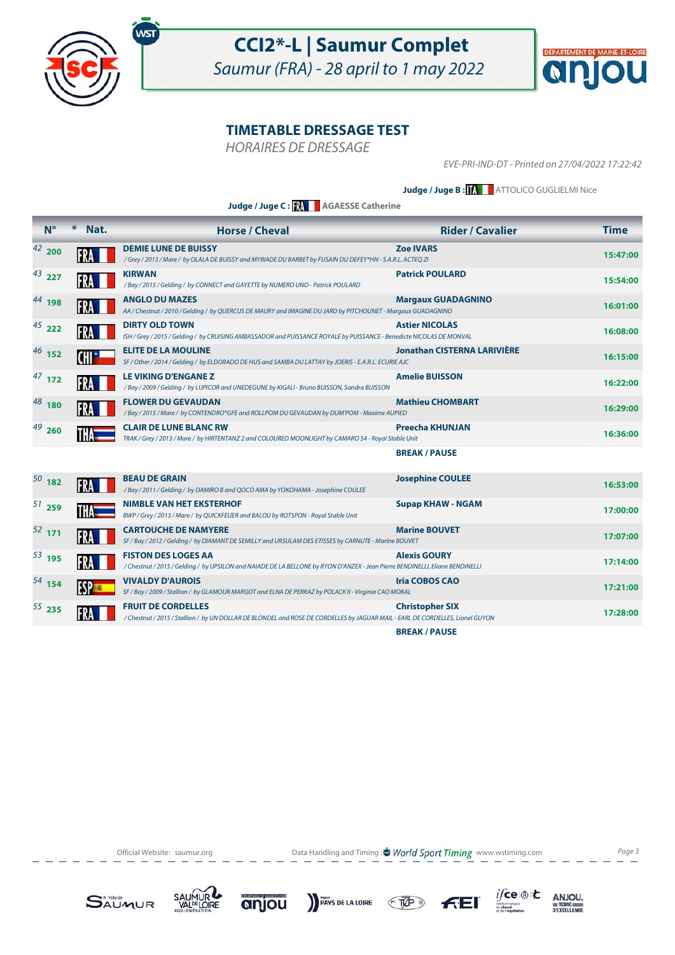



HORAIRES DE DRESSAGE

EVE-PRI-IND-DT - Printed on 27/04/2022 17:22:42

**Judge / Juge B : MATTOLICO GUGLIELMI Nice** 

**Judge / Juge C : AGAESSE Catherine**

| $N^{\circ}$   | ⋇<br>Nat. | <b>Horse / Cheval</b>                                                                                                                                      | <b>Rider / Cavalier</b>            | <b>Time</b> |
|---------------|-----------|------------------------------------------------------------------------------------------------------------------------------------------------------------|------------------------------------|-------------|
| $42_{\,}$ 200 |           | <b>DEMIE LUNE DE BUISSY</b><br>/Grey / 2013 / Mare / by OLALA DE BUISSY and MYRIADE DU BARBET by FUSAIN DU DEFEY*HN - S.A.R.L. ACTEQ ZI                    | <b>Zoe IVARS</b>                   | 15:47:00    |
| $43$ 227      |           | <b>KIRWAN</b><br>/Bay / 2015 / Gelding / by CONNECT and GAYETTE by NUMERO UNO - Patrick POULARD                                                            | <b>Patrick POULARD</b>             | 15:54:00    |
| $44$ 198      |           | <b>ANGLO DU MAZES</b><br>AA / Chestnut / 2010 / Gelding / by QUERCUS DE MAURY and IMAGINE DU JARD by PITCHOUNET - Margaux GUADAGNINO                       | <b>Margaux GUADAGNINO</b>          | 16:01:00    |
| $45$ 222      |           | <b>DIRTY OLD TOWN</b><br>ISH / Grey / 2015 / Gelding / by CRUISING AMBASSADOR and PUISSANCE ROYALE by PUISSANCE - Benedicte NICOLAS DE MONVAL              | <b>Astier NICOLAS</b>              | 16:08:00    |
| $46$ 152      |           | <b>ELITE DE LA MOULINE</b><br>SF / Other / 2014 / Gelding / by ELDORADO DE HUS and SAMBA DU LATTAY by JOERIS - E.A.R.L. ECURIE AJC                         | <b>Jonathan CISTERNA LARIVIÈRE</b> | 16:15:00    |
| $47$ 172      |           | LE VIKING D'ENGANE Z<br>/Bay / 2009 / Gelding / by LUPICOR and UNEDEGUNE by KIGALI - Bruno BUISSON, Sandra BUISSON                                         | <b>Amelie BUISSON</b>              | 16:22:00    |
| $48$ 180      |           | <b>FLOWER DU GEVAUDAN</b><br>/Bay / 2015 / Mare / by CONTENDRO*GFE and ROLLPOM DU GEVAUDAN by DUM'POM - Maxime AUPIED                                      | <b>Mathieu CHOMBART</b>            | 16:29:00    |
| $49$ 260      |           | <b>CLAIR DE LUNE BLANC RW</b><br>TRAK / Grey / 2013 / Mare / by HIRTENTANZ 2 and COLOURED MOONLIGHT by CAMARO 54 - Royal Stable Unit                       | <b>Preecha KHUNJAN</b>             | 16:36:00    |
|               |           |                                                                                                                                                            | <b>BREAK/PAUSE</b>                 |             |
| $50^{182}$    |           | <b>BEAU DE GRAIN</b><br>/Bay/2011/Gelding/by DAMIRO B and QOCO AMA by YOKOHAMA - Josephine COULEE                                                          | <b>Josephine COULEE</b>            | 16:53:00    |
| $51$ 259      |           | <b>NIMBLE VAN HET EKSTERHOF</b><br>BWP / Grey / 2013 / Mare / by QUICKFEUER and BALOU by ROTSPON - Royal Stable Unit                                       | <b>Supap KHAW - NGAM</b>           | 17:00:00    |
| $52$ 171      |           | <b>CARTOUCHE DE NAMYERE</b><br>SF / Bay / 2012 / Gelding / by DIAMANT DE SEMILLY and URSULAM DES ETISSES by CARNUTE - Marine BOUVET                        | <b>Marine BOUVET</b>               | 17:07:00    |
| $53$ 195      |           | <b>FISTON DES LOGES AA</b><br>/Chestnut/2015/Gelding/ by UPSILON and NAIADE DE LA BELLONE by RYON D'ANZEX - Jean Pierre BENDINELLI, Eliane BENDINELLI      | <b>Alexis GOURY</b>                | 17:14:00    |
| $^{54}$ 154   |           | <b>VIVALDY D'AUROIS</b><br>SF / Bay / 2009 / Stallion / by GLAMOUR MARGOT and ELNA DE PERRAZ by POLACK II - Virginia CAO MORAL                             | <b>Iria COBOS CAO</b>              | 17:21:00    |
| $55$ 235      |           | <b>FRUIT DE CORDELLES</b><br>/ Chestnut / 2015 / Stallion / by UN DOLLAR DE BLONDEL and ROSE DE CORDELLES by JAGUAR MAIL - EARL DE CORDELLES, Lionel GUYON | <b>Christopher SIX</b>             | 17:28:00    |
|               |           |                                                                                                                                                            | <b>BREAK/PAUSE</b>                 |             |

Official Website: saumur.org **Data Handling and Timing : World Sport Timing** www.wstiming.com Page 3













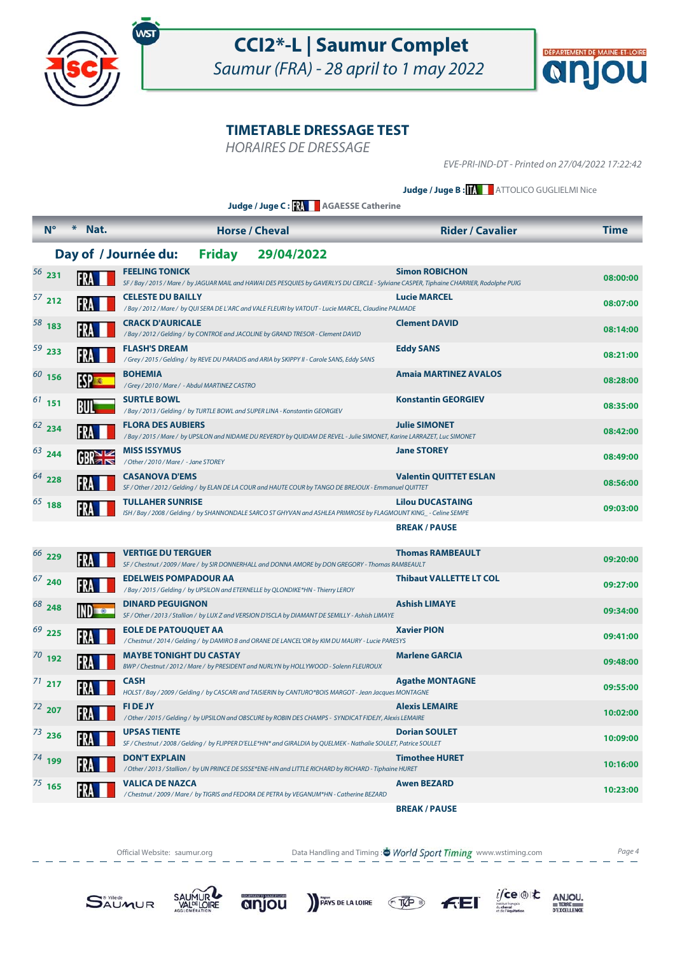



HORAIRES DE DRESSAGE

EVE-PRI-IND-DT - Printed on 27/04/2022 17:22:42

**Judge / Juge B : MATTOLICO GUGLIELMI Nice** 

**Judge / Juge C : AGAESSE Catherine**

|              | $N^{\circ}$<br>$*$      | Nat.            |                                                                 | <b>Horse / Cheval</b> |                                                                                                                  | <b>Rider / Cavalier</b>                                                                                                                                           | <b>Time</b> |
|--------------|-------------------------|-----------------|-----------------------------------------------------------------|-----------------------|------------------------------------------------------------------------------------------------------------------|-------------------------------------------------------------------------------------------------------------------------------------------------------------------|-------------|
|              |                         |                 | Day of / Journée du:                                            | <b>Friday</b>         | 29/04/2022                                                                                                       |                                                                                                                                                                   |             |
| $56$ 231     |                         |                 | <b>FEELING TONICK</b>                                           |                       |                                                                                                                  | <b>Simon ROBICHON</b><br>SF / Bay / 2015 / Mare / by JAGUAR MAIL and HAWAI DES PESQUIES by GAVERLYS DU CERCLE - Sylviane CASPER, Tiphaine CHARRIER, Rodolphe PUIG | 08:00:00    |
| $57$ 212     |                         |                 | <b>CELESTE DU BAILLY</b>                                        |                       | / Bay / 2012 / Mare / by QUI SERA DE L'ARC and VALE FLEURI by VATOUT - Lucie MARCEL, Claudine PALMADE            | <b>Lucie MARCEL</b>                                                                                                                                               | 08:07:00    |
| $58$ 183     |                         |                 | <b>CRACK D'AURICALE</b>                                         |                       | /Bay / 2012 / Gelding / by CONTROE and JACOLINE by GRAND TRESOR - Clement DAVID                                  | <b>Clement DAVID</b>                                                                                                                                              | 08:14:00    |
| $59$ 233     |                         |                 | <b>FLASH'S DREAM</b>                                            |                       | / Grey / 2015 / Gelding / by REVE DU PARADIS and ARIA by SKIPPY II - Carole SANS, Eddy SANS                      | <b>Eddy SANS</b>                                                                                                                                                  | 08:21:00    |
| $60$ 156     | <b>ESP<sub>ES</sub></b> |                 | <b>BOHEMIA</b><br>/Grey / 2010 / Mare / - Abdul MARTINEZ CASTRO |                       |                                                                                                                  | <b>Amaia MARTINEZ AVALOS</b>                                                                                                                                      | 08:28:00    |
| $61$ 151     | BUI                     |                 | <b>SURTLE BOWL</b>                                              |                       | /Bay / 2013 / Gelding / by TURTLE BOWL and SUPER LINA - Konstantin GEORGIEV                                      | <b>Konstantin GEORGIEV</b>                                                                                                                                        | 08:35:00    |
| $62$ 234     | FRA                     |                 | <b>FLORA DES AUBIERS</b>                                        |                       |                                                                                                                  | <b>Julie SIMONET</b><br>/Bay / 2015 / Mare / by UPSILON and NIDAME DU REVERDY by QUIDAM DE REVEL - Julie SIMONET, Karine LARRAZET, Luc SIMONET                    | 08:42:00    |
| $63$ 244     |                         | GR <sub>1</sub> | <b>MISS ISSYMUS</b><br>/ Other / 2010 / Mare / - Jane STOREY    |                       |                                                                                                                  | <b>Jane STOREY</b>                                                                                                                                                | 08:49:00    |
| $64$ 228     |                         |                 | <b>CASANOVA D'EMS</b>                                           |                       | SF / Other / 2012 / Gelding / by ELAN DE LA COUR and HAUTE COUR by TANGO DE BREJOUX - Emmanuel QUITTET           | <b>Valentin QUITTET ESLAN</b>                                                                                                                                     | 08:56:00    |
| $65$ 188     |                         |                 | <b>TULLAHER SUNRISE</b>                                         |                       |                                                                                                                  | <b>Lilou DUCASTAING</b>                                                                                                                                           | 09:03:00    |
|              |                         |                 |                                                                 |                       |                                                                                                                  | ISH / Bay / 2008 / Gelding / by SHANNONDALE SARCO ST GHYVAN and ASHLEA PRIMROSE by FLAGMOUNT KING_- Celine SEMPE<br><b>BREAK/PAUSE</b>                            |             |
| 66 229       |                         |                 | <b>VERTIGE DU TERGUER</b>                                       |                       |                                                                                                                  | <b>Thomas RAMBEAULT</b>                                                                                                                                           | 09:20:00    |
| $67$ 240     |                         |                 | <b>EDELWEIS POMPADOUR AA</b>                                    |                       | SF / Chestnut / 2009 / Mare / by SIR DONNERHALL and DONNA AMORE by DON GREGORY - Thomas RAMBEAULT                | <b>Thibaut VALLETTE LT COL</b>                                                                                                                                    | 09:27:00    |
| $68^{9}$ 248 |                         |                 | <b>DINARD PEGUIGNON</b>                                         |                       | /Bay / 2015 / Gelding / by UPSILON and ETERNELLE by QLONDIKE*HN - Thierry LEROY                                  | <b>Ashish LIMAYE</b>                                                                                                                                              | 09:34:00    |
| $69$ 225     |                         |                 | <b>EOLE DE PATOUQUET AA</b>                                     |                       | SF / Other / 2013 / Stallion / by LUX Z and VERSION D'ISCLA by DIAMANT DE SEMILLY - Ashish LIMAYE                | <b>Xavier PION</b>                                                                                                                                                |             |
| $70$ 192     |                         |                 | <b>MAYBE TONIGHT DU CASTAY</b>                                  |                       | / Chestnut / 2014 / Gelding / by DAMIRO B and ORANE DE LANCEL'OR by KIM DU MAURY - Lucie PARESYS                 | <b>Marlene GARCIA</b>                                                                                                                                             | 09:41:00    |
| $71$ 217     | FRA                     |                 | <b>CASH</b>                                                     |                       | BWP / Chestnut / 2012 / Mare / by PRESIDENT and NURLYN by HOLLYWOOD - Solenn FLEUROUX                            | <b>Agathe MONTAGNE</b>                                                                                                                                            | 09:48:00    |
|              |                         |                 | <b>FIDE JY</b>                                                  |                       | HOLST / Bay / 2009 / Gelding / by CASCARI and TAISIERIN by CANTURO*BOIS MARGOT - Jean Jacques MONTAGNE           | <b>Alexis LEMAIRE</b>                                                                                                                                             | 09:55:00    |
| $72$ 207     |                         |                 |                                                                 |                       | / Other / 2015 / Gelding / by UPSILON and OBSCURE by ROBIN DES CHAMPS - SYNDICAT FIDEJY, Alexis LEMAIRE          |                                                                                                                                                                   | 10:02:00    |
| 73236        |                         |                 | <b>UPSAS TIENTE</b>                                             |                       | SF / Chestnut / 2008 / Gelding / by FLIPPER D'ELLE*HN* and GIRALDIA by QUELMEK - Nathalie SOULET, Patrice SOULET | <b>Dorian SOULET</b>                                                                                                                                              | 10:09:00    |
| $74$ 199     |                         |                 | <b>DON'T EXPLAIN</b>                                            |                       | / Other / 2013 / Stallion / by UN PRINCE DE SISSE*ENE-HN and LITTLE RICHARD by RICHARD - Tiphaine HURET          | <b>Timothee HURET</b>                                                                                                                                             | 10:16:00    |
| $^{75}$ 165  |                         |                 | <b>VALICA DE NAZCA</b>                                          |                       | /Chestnut / 2009 / Mare / by TIGRIS and FEDORA DE PETRA by VEGANUM*HN - Catherine BEZARD                         | <b>Awen BEZARD</b>                                                                                                                                                | 10:23:00    |
|              |                         |                 |                                                                 |                       |                                                                                                                  | <b>BREAK/PAUSE</b>                                                                                                                                                |             |

Official Website: saumur.org **Data Handling and Timing : World Sport Timing** www.wstiming.com Page 4













 $\begin{array}{r}\nANJOU, \\
# \text{TERE} \\
 \hline\n\n \text{PEXCELLENCE}\n\end{array}$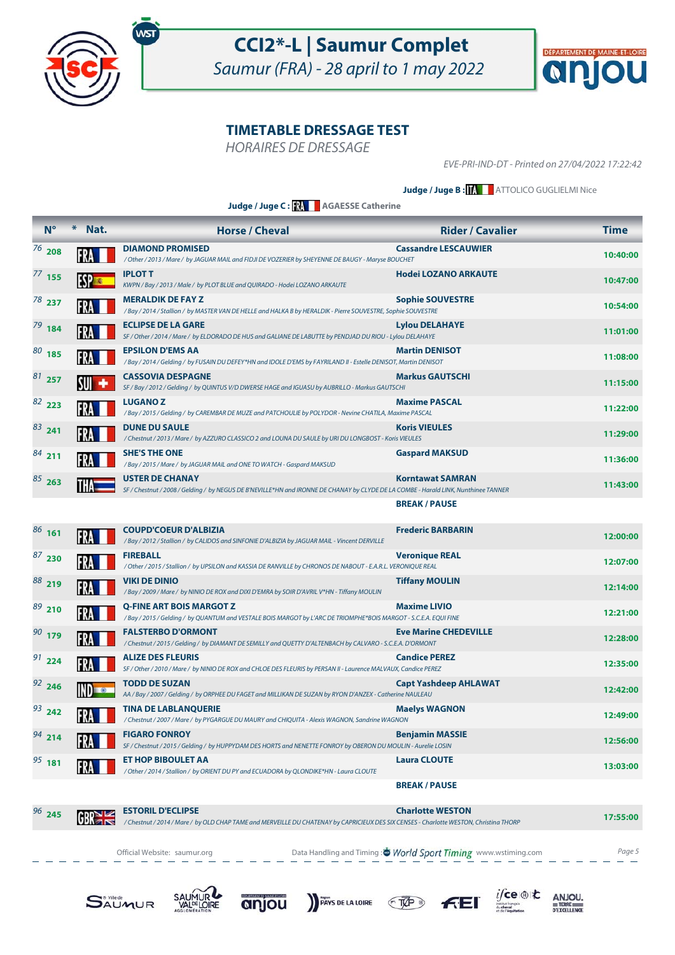



HORAIRES DE DRESSAGE

EVE-PRI-IND-DT - Printed on 27/04/2022 17:22:42

#### **Judge / Juge B : | ATTOLICO GUGLIELMI Nice**

**Judge / Juge C : AGAESSE Catherine**

| $N^{\circ}$ | $\ast$<br>Nat. | <b>Horse / Cheval</b>                                                                                                                                         | <b>Rider / Cavalier</b>      | <b>Time</b> |
|-------------|----------------|---------------------------------------------------------------------------------------------------------------------------------------------------------------|------------------------------|-------------|
| $76$ 208    |                | <b>DIAMOND PROMISED</b><br>/ Other / 2013 / Mare / by JAGUAR MAIL and FIDJI DE VOZERIER by SHEYENNE DE BAUGY - Maryse BOUCHET                                 | <b>Cassandre LESCAUWIER</b>  | 10:40:00    |
| $77$ 155    | <b>FSP</b>     | <b>IPLOT T</b><br>KWPN / Bay / 2013 / Male / by PLOT BLUE and QUIRADO - Hodei LOZANO ARKAUTE                                                                  | <b>Hodei LOZANO ARKAUTE</b>  | 10:47:00    |
| $78$ 237    |                | <b>MERALDIK DE FAY Z</b><br>/Bay / 2014 / Stallion / by MASTER VAN DE HELLE and HALKA B by HERALDIK - Pierre SOUVESTRE, Sophie SOUVESTRE                      | <b>Sophie SOUVESTRE</b>      | 10:54:00    |
| $79$ 184    |                | <b>ECLIPSE DE LA GARE</b><br>SF / Other / 2014 / Mare / by ELDORADO DE HUS and GALIANE DE LABUTTE by PENDJAD DU RIOU - Lylou DELAHAYE                         | <b>Lylou DELAHAYE</b>        | 11:01:00    |
| $80$ 185    | FR             | <b>EPSILON D'EMS AA</b><br>/ Bay / 2014 / Gelding / by FUSAIN DU DEFEY*HN and IDOLE D'EMS by FAYRILAND II - Estelle DENISOT, Martin DENISOT                   | <b>Martin DENISOT</b>        | 11:08:00    |
| $81$ 257    |                | <b>CASSOVIA DESPAGNE</b><br>SF / Bay / 2012 / Gelding / by QUINTUS V/D DWERSE HAGE and IGUASU by AUBRILLO - Markus GAUTSCHI                                   | <b>Markus GAUTSCHI</b>       | 11:15:00    |
| $82$ 223    |                | <b>LUGANOZ</b><br>/Bay/2015/Gelding/by CAREMBAR DE MUZE and PATCHOULIE by POLYDOR - Nevine CHATILA, Maxime PASCAL                                             | <b>Maxime PASCAL</b>         | 11:22:00    |
| $83$ 241    |                | <b>DUNE DU SAULE</b><br>/ Chestnut / 2013 / Mare / by AZZURO CLASSICO 2 and LOUNA DU SAULE by URI DU LONGBOST - Koris VIEULES                                 | <b>Koris VIEULES</b>         | 11:29:00    |
| $84$ 211    |                | <b>SHE'S THE ONE</b><br>/Bay / 2015 / Mare / by JAGUAR MAIL and ONE TO WATCH - Gaspard MAKSUD                                                                 | <b>Gaspard MAKSUD</b>        | 11:36:00    |
| $85$ 263    |                | <b>USTER DE CHANAY</b><br>SF / Chestnut / 2008 / Gelding / by NEGUS DE B'NEVILLE*HN and IRONNE DE CHANAY by CLYDE DE LA COMBE - Harald LINK, Nunthinee TANNER | <b>Korntawat SAMRAN</b>      | 11:43:00    |
|             |                |                                                                                                                                                               | <b>BREAK / PAUSE</b>         |             |
| $86$ 161    |                | <b>COUPD'COEUR D'ALBIZIA</b><br>/ Bay / 2012 / Stallion / by CALIDOS and SINFONIE D'ALBIZIA by JAGUAR MAIL - Vincent DERVILLE                                 | <b>Frederic BARBARIN</b>     | 12:00:00    |
| $87$ 230    |                | <b>FIREBALL</b><br>/ Other / 2015 / Stallion / by UPSILON and KASSIA DE RANVILLE by CHRONOS DE NABOUT - E.A.R.L. VERONIQUE REAL                               | <b>Veronique REAL</b>        | 12:07:00    |
| 88219       |                | <b>VIKI DE DINIO</b><br>/Bay / 2009 / Mare / by NINIO DE ROX and DIXI D'EMRA by SOIR D'AVRIL V*HN - Tiffany MOULIN                                            | <b>Tiffany MOULIN</b>        | 12:14:00    |
| $89$ 210    |                | <b>O-FINE ART BOIS MARGOT Z</b><br>/Bay / 2015 / Gelding / by QUANTUM and VESTALE BOIS MARGOT by L'ARC DE TRIOMPHE*BOIS MARGOT - S.C.E.A. EQUI FINE           | <b>Maxime LIVIO</b>          | 12:21:00    |
| $90$ 179    |                | <b>FALSTERBO D'ORMONT</b><br>/Chestnut/2015/Gelding/ by DIAMANT DE SEMILLY and QUETTY D'ALTENBACH by CALVARO - S.C.E.A. D'ORMONT                              | <b>Eve Marine CHEDEVILLE</b> | 12:28:00    |
| $91$ 224    |                | <b>ALIZE DES FLEURIS</b><br>SF / Other / 2010 / Mare / by NINIO DE ROX and CHLOE DES FLEURIS by PERSAN II - Laurence MALVAUX, Candice PEREZ                   | <b>Candice PEREZ</b>         | 12:35:00    |
| $92$ 246    |                | <b>TODD DE SUZAN</b><br>AA / Bay / 2007 / Gelding / by ORPHEE DU FAGET and MILLIKAN DE SUZAN by RYON D'ANZEX - Catherine NAULEAU                              | <b>Capt Yashdeep AHLAWAT</b> | 12:42:00    |
| $93$ 242    | FR             | <b>TINA DE LABLANQUERIE</b><br>/ Chestnut / 2007 / Mare / by PYGARGUE DU MAURY and CHIQUITA - Alexis WAGNON, Sandrine WAGNON                                  | <b>Maelys WAGNON</b>         | 12:49:00    |
| $94$ 214    |                | <b>FIGARO FONROY</b><br>SF / Chestnut / 2015 / Gelding / by HUPPYDAM DES HORTS and NENETTE FONROY by OBERON DU MOULIN - Aurelie LOSIN                         | <b>Benjamin MASSIE</b>       | 12:56:00    |
| $95$ 181    |                | <b>ET HOP BIBOULET AA</b><br>/ Other / 2014 / Stallion / by ORIENT DU PY and ECUADORA by QLONDIKE*HN - Laura CLOUTE                                           | <b>Laura CLOUTE</b>          | 13:03:00    |
|             |                |                                                                                                                                                               | <b>BREAK / PAUSE</b>         |             |

 **Charlotte WESTORI D'ECLIPSE 245 Charlotte WESTON** *17:55:00* **CHATENAY by OLD CHATENAY and MERVEILLE DU CHATENAY by CAPRICIEUX DES SIX CENSES - Charlotte WESTON, Christina THORP** *17:55:00* 96 245

Official Website: saumur.org **Data Handling and Timing : World Sport Timing** www.wstiming.com Page 5